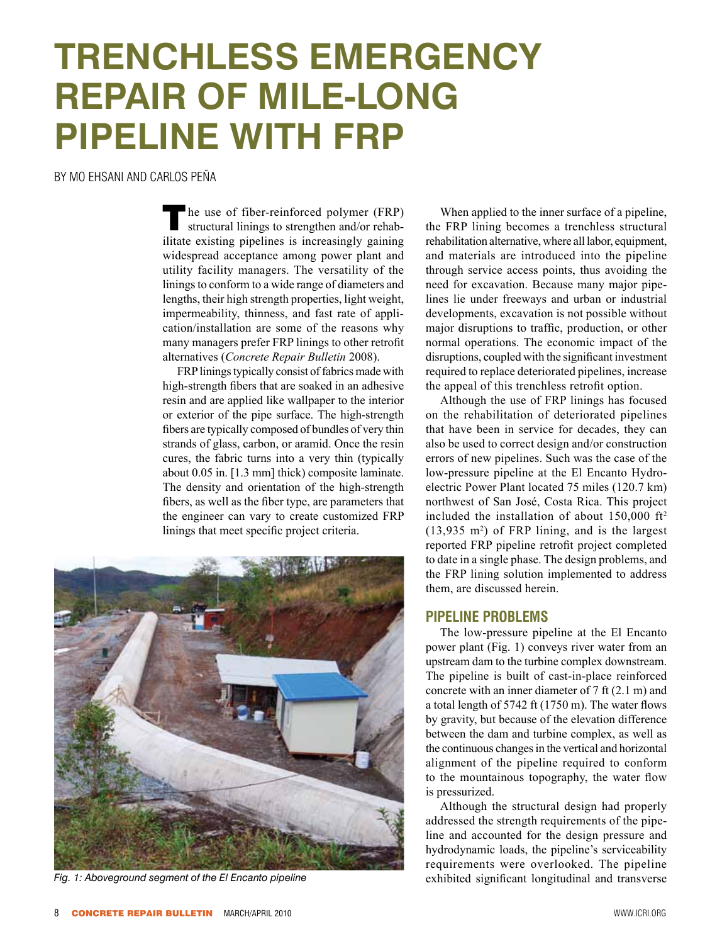# **Trenchless Emergency Repair of Mile-Long Pipeline with FRP**

By Mo Ehsani and Carlos Peña

 $\blacksquare$  he use of fiber-reinforced polymer (FRP) structural linings to strengthen and/or rehabilitate existing pipelines is increasingly gaining widespread acceptance among power plant and utility facility managers. The versatility of the linings to conform to a wide range of diameters and lengths, their high strength properties, light weight, impermeability, thinness, and fast rate of application/installation are some of the reasons why many managers prefer FRP linings to other retrofit alternatives (*Concrete Repair Bulletin* 2008).

FRP linings typically consist of fabrics made with high-strength fibers that are soaked in an adhesive resin and are applied like wallpaper to the interior or exterior of the pipe surface. The high-strength fibers are typically composed of bundles of very thin strands of glass, carbon, or aramid. Once the resin cures, the fabric turns into a very thin (typically about 0.05 in. [1.3 mm] thick) composite laminate. The density and orientation of the high-strength fibers, as well as the fiber type, are parameters that the engineer can vary to create customized FRP linings that meet specific project criteria.



When applied to the inner surface of a pipeline, the FRP lining becomes a trenchless structural rehabilitation alternative, where all labor, equipment, and materials are introduced into the pipeline through service access points, thus avoiding the need for excavation. Because many major pipelines lie under freeways and urban or industrial developments, excavation is not possible without major disruptions to traffic, production, or other normal operations. The economic impact of the disruptions, coupled with the significant investment required to replace deteriorated pipelines, increase the appeal of this trenchless retrofit option.

Although the use of FRP linings has focused on the rehabilitation of deteriorated pipelines that have been in service for decades, they can also be used to correct design and/or construction errors of new pipelines. Such was the case of the low-pressure pipeline at the El Encanto Hydroelectric Power Plant located 75 miles (120.7 km) northwest of San José, Costa Rica. This project included the installation of about  $150,000$  ft<sup>2</sup> (13,935 m2 ) of FRP lining, and is the largest reported FRP pipeline retrofit project completed to date in a single phase. The design problems, and the FRP lining solution implemented to address them, are discussed herein.

## **Pipeline Problems**

The low-pressure pipeline at the El Encanto power plant (Fig. 1) conveys river water from an upstream dam to the turbine complex downstream. The pipeline is built of cast-in-place reinforced concrete with an inner diameter of 7 ft (2.1 m) and a total length of 5742 ft (1750 m). The water flows by gravity, but because of the elevation difference between the dam and turbine complex, as well as the continuous changes in the vertical and horizontal alignment of the pipeline required to conform to the mountainous topography, the water flow is pressurized.

Although the structural design had properly addressed the strength requirements of the pipeline and accounted for the design pressure and hydrodynamic loads, the pipeline's serviceability requirements were overlooked. The pipeline Fig. 1: Aboveground segment of the El Encanto pipeline exhibited significant longitudinal and transverse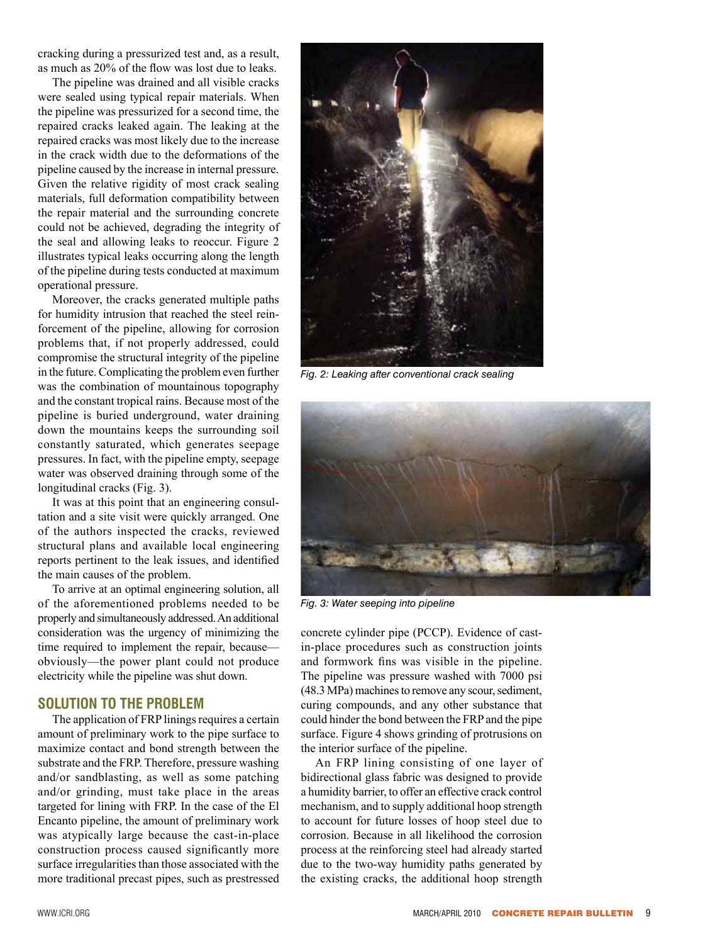cracking during a pressurized test and, as a result, as much as 20% of the flow was lost due to leaks.

The pipeline was drained and all visible cracks were sealed using typical repair materials. When the pipeline was pressurized for a second time, the repaired cracks leaked again. The leaking at the repaired cracks was most likely due to the increase in the crack width due to the deformations of the pipeline caused by the increase in internal pressure. Given the relative rigidity of most crack sealing materials, full deformation compatibility between the repair material and the surrounding concrete could not be achieved, degrading the integrity of the seal and allowing leaks to reoccur. Figure 2 illustrates typical leaks occurring along the length of the pipeline during tests conducted at maximum operational pressure.

Moreover, the cracks generated multiple paths for humidity intrusion that reached the steel reinforcement of the pipeline, allowing for corrosion problems that, if not properly addressed, could compromise the structural integrity of the pipeline in the future. Complicating the problem even further was the combination of mountainous topography and the constant tropical rains. Because most of the pipeline is buried underground, water draining down the mountains keeps the surrounding soil constantly saturated, which generates seepage pressures. In fact, with the pipeline empty, seepage water was observed draining through some of the longitudinal cracks (Fig. 3).

It was at this point that an engineering consultation and a site visit were quickly arranged. One of the authors inspected the cracks, reviewed structural plans and available local engineering reports pertinent to the leak issues, and identified the main causes of the problem.

To arrive at an optimal engineering solution, all of the aforementioned problems needed to be properly and simultaneously addressed. An additional consideration was the urgency of minimizing the time required to implement the repair, because obviously—the power plant could not produce electricity while the pipeline was shut down.

## **Solution to the Problem**

The application of FRP linings requires a certain amount of preliminary work to the pipe surface to maximize contact and bond strength between the substrate and the FRP. Therefore, pressure washing and/or sandblasting, as well as some patching and/or grinding, must take place in the areas targeted for lining with FRP. In the case of the El Encanto pipeline, the amount of preliminary work was atypically large because the cast-in-place construction process caused significantly more surface irregularities than those associated with the more traditional precast pipes, such as prestressed



*Fig. 2: Leaking after conventional crack sealing* 



*Fig. 3: Water seeping into pipeline*

concrete cylinder pipe (PCCP). Evidence of castin-place procedures such as construction joints and formwork fins was visible in the pipeline. The pipeline was pressure washed with 7000 psi (48.3 MPa) machines to remove any scour, sediment, curing compounds, and any other substance that could hinder the bond between the FRP and the pipe surface. Figure 4 shows grinding of protrusions on the interior surface of the pipeline.

An FRP lining consisting of one layer of bidirectional glass fabric was designed to provide a humidity barrier, to offer an effective crack control mechanism, and to supply additional hoop strength to account for future losses of hoop steel due to corrosion. Because in all likelihood the corrosion process at the reinforcing steel had already started due to the two-way humidity paths generated by the existing cracks, the additional hoop strength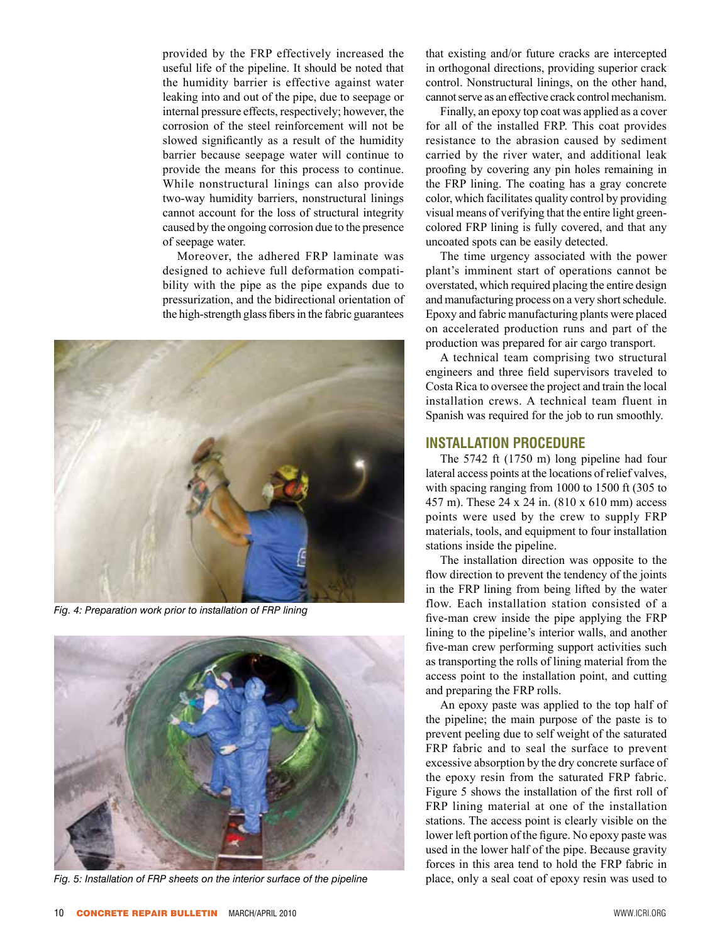provided by the FRP effectively increased the useful life of the pipeline. It should be noted that the humidity barrier is effective against water leaking into and out of the pipe, due to seepage or internal pressure effects, respectively; however, the corrosion of the steel reinforcement will not be slowed significantly as a result of the humidity barrier because seepage water will continue to provide the means for this process to continue. While nonstructural linings can also provide two-way humidity barriers, nonstructural linings cannot account for the loss of structural integrity caused by the ongoing corrosion due to the presence of seepage water.

Moreover, the adhered FRP laminate was designed to achieve full deformation compatibility with the pipe as the pipe expands due to pressurization, and the bidirectional orientation of the high-strength glass fibers in the fabric guarantees



*Fig. 4: Preparation work prior to installation of FRP lining*



*Fig. 5: Installation of FRP sheets on the interior surface of the pipeline*

that existing and/or future cracks are intercepted in orthogonal directions, providing superior crack control. Nonstructural linings, on the other hand, cannot serve as an effective crack control mechanism.

Finally, an epoxy top coat was applied as a cover for all of the installed FRP. This coat provides resistance to the abrasion caused by sediment carried by the river water, and additional leak proofing by covering any pin holes remaining in the FRP lining. The coating has a gray concrete color, which facilitates quality control by providing visual means of verifying that the entire light greencolored FRP lining is fully covered, and that any uncoated spots can be easily detected.

The time urgency associated with the power plant's imminent start of operations cannot be overstated, which required placing the entire design and manufacturing process on a very short schedule. Epoxy and fabric manufacturing plants were placed on accelerated production runs and part of the production was prepared for air cargo transport.

A technical team comprising two structural engineers and three field supervisors traveled to Costa Rica to oversee the project and train the local installation crews. A technical team fluent in Spanish was required for the job to run smoothly.

#### **Installation Procedure**

The 5742 ft (1750 m) long pipeline had four lateral access points at the locations of relief valves, with spacing ranging from 1000 to 1500 ft (305 to 457 m). These 24 x 24 in. (810 x 610 mm) access points were used by the crew to supply FRP materials, tools, and equipment to four installation stations inside the pipeline.

The installation direction was opposite to the flow direction to prevent the tendency of the joints in the FRP lining from being lifted by the water flow. Each installation station consisted of a five-man crew inside the pipe applying the FRP lining to the pipeline's interior walls, and another five-man crew performing support activities such as transporting the rolls of lining material from the access point to the installation point, and cutting and preparing the FRP rolls.

An epoxy paste was applied to the top half of the pipeline; the main purpose of the paste is to prevent peeling due to self weight of the saturated FRP fabric and to seal the surface to prevent excessive absorption by the dry concrete surface of the epoxy resin from the saturated FRP fabric. Figure 5 shows the installation of the first roll of FRP lining material at one of the installation stations. The access point is clearly visible on the lower left portion of the figure. No epoxy paste was used in the lower half of the pipe. Because gravity forces in this area tend to hold the FRP fabric in place, only a seal coat of epoxy resin was used to